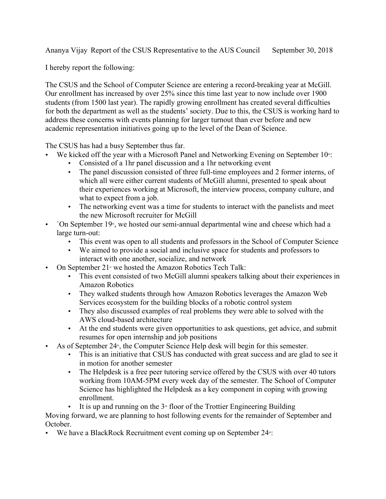Ananya Vijay Report of the CSUS Representative to the AUS Council September 30, 2018

I hereby report the following:

The CSUS and the School of Computer Science are entering a record-breaking year at McGill. Our enrollment has increased by over 25% since this time last year to now include over 1900 students (from 1500 last year). The rapidly growing enrollment has created several difficulties for both the department as well as the students' society. Due to this, the CSUS is working hard to address these concerns with events planning for larger turnout than ever before and new academic representation initiatives going up to the level of the Dean of Science.

The CSUS has had a busy September thus far.

- We kicked off the year with a Microsoft Panel and Networking Evening on September  $10^{\omega}$ .
	- Consisted of a 1hr panel discussion and a 1hr networking event
	- The panel discussion consisted of three full-time employees and 2 former interns, of which all were either current students of McGill alumni, presented to speak about their experiences working at Microsoft, the interview process, company culture, and what to expect from a job.
	- The networking event was a time for students to interact with the panelists and meet the new Microsoft recruiter for McGill
- `On September  $19<sup>th</sup>$ , we hosted our semi-annual departmental wine and cheese which had a large turn-out:
	- This event was open to all students and professors in the School of Computer Science
	- We aimed to provide a social and inclusive space for students and professors to interact with one another, socialize, and network
- On September  $21^{\text{st}}$  we hosted the Amazon Robotics Tech Talk:
	- This event consisted of two McGill alumni speakers talking about their experiences in Amazon Robotics
	- They walked students through how Amazon Robotics leverages the Amazon Web Services ecosystem for the building blocks of a robotic control system
	- They also discussed examples of real problems they were able to solved with the AWS cloud-based architecture
	- At the end students were given opportunities to ask questions, get advice, and submit resumes for open internship and job positions
- As of September 24<sup> $\ast$ </sup>, the Computer Science Help desk will begin for this semester.
	- This is an initiative that CSUS has conducted with great success and are glad to see it in motion for another semester
	- The Helpdesk is a free peer tutoring service offered by the CSUS with over 40 tutors working from 10AM-5PM every week day of the semester. The School of Computer Science has highlighted the Helpdesk as a key component in coping with growing enrollment.

• It is up and running on the  $3<sup>d</sup>$  floor of the Trottier Engineering Building Moving forward, we are planning to host following events for the remainder of September and October.

• We have a BlackRock Recruitment event coming up on September  $24$ <sup> $\text{h}$ </sup>: